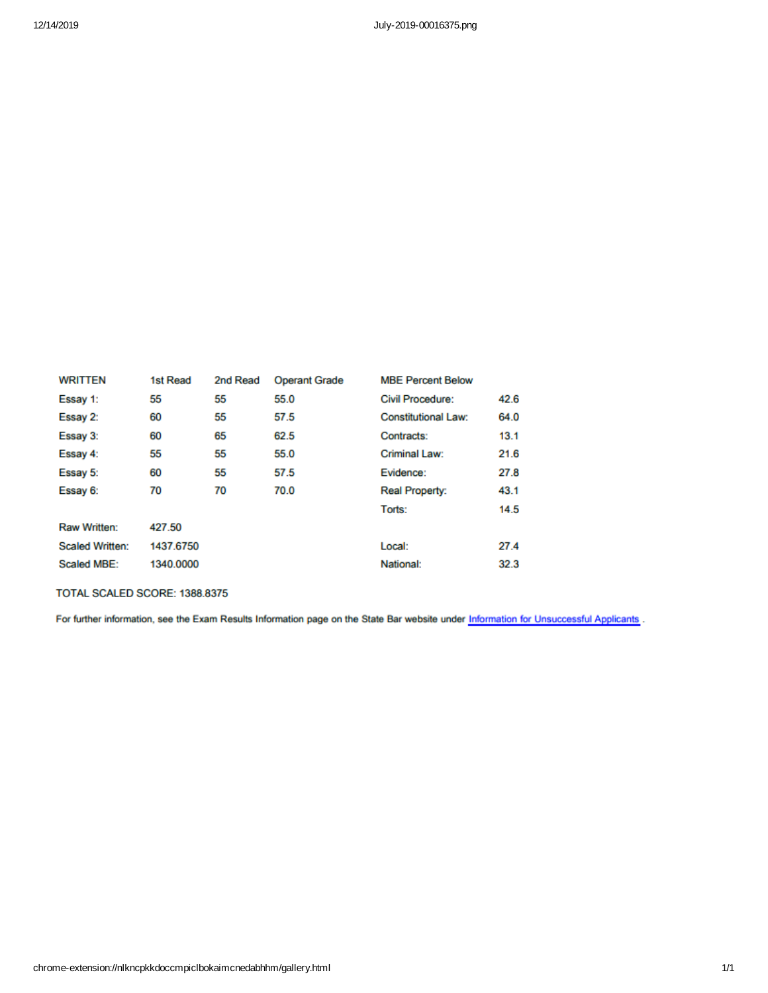| 1st Read  | 2nd Read | <b>Operant Grade</b> | <b>MBE Percent Below</b>   |      |
|-----------|----------|----------------------|----------------------------|------|
| 55        | 55       | 55.0                 | <b>Civil Procedure:</b>    | 42.6 |
| 60        | 55       | 57.5                 | <b>Constitutional Law:</b> | 64.0 |
| 60        | 65       | 62.5                 | Contracts:                 | 13.1 |
| 55        | 55       | 55.0                 | Criminal Law:              | 21.6 |
| 60        | 55       | 57.5                 | Evidence:                  | 27.8 |
| 70        | 70       | 70.0                 | Real Property:             | 43.1 |
|           |          |                      | Torts:                     | 14.5 |
| 427.50    |          |                      |                            |      |
| 1437.6750 |          |                      | Local:                     | 27.4 |
| 1340.0000 |          |                      | National:                  | 32.3 |
|           |          |                      |                            |      |

#### TOTAL SCALED SCORE: 1388.8375

For further information, see the Exam Results Information page on the State Bar website under Information for Unsuccessful Applicants .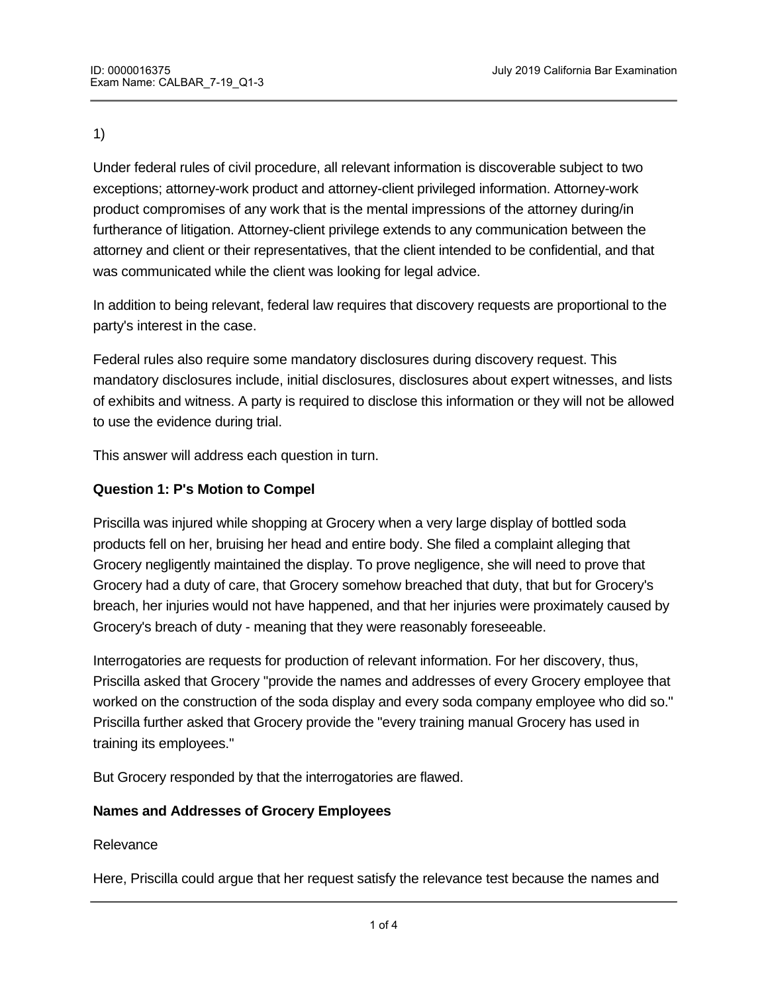Under federal rules of civil procedure, all relevant information is discoverable subject to two exceptions; attorney-work product and attorney-client privileged information. Attorney-work product compromises of any work that is the mental impressions of the attorney during/in furtherance of litigation. Attorney-client privilege extends to any communication between the attorney and client or their representatives, that the client intended to be confidential, and that was communicated while the client was looking for legal advice.

In addition to being relevant, federal law requires that discovery requests are proportional to the party's interest in the case.

Federal rules also require some mandatory disclosures during discovery request. This mandatory disclosures include, initial disclosures, disclosures about expert witnesses, and lists of exhibits and witness. A party is required to disclose this information or they will not be allowed to use the evidence during trial.

This answer will address each question in turn.

### **Question 1: P's Motion to Compel**

Priscilla was injured while shopping at Grocery when a very large display of bottled soda products fell on her, bruising her head and entire body. She filed a complaint alleging that Grocery negligently maintained the display. To prove negligence, she will need to prove that Grocery had a duty of care, that Grocery somehow breached that duty, that but for Grocery's breach, her injuries would not have happened, and that her injuries were proximately caused by Grocery's breach of duty - meaning that they were reasonably foreseeable.

Interrogatories are requests for production of relevant information. For her discovery, thus, Priscilla asked that Grocery "provide the names and addresses of every Grocery employee that worked on the construction of the soda display and every soda company employee who did so." Priscilla further asked that Grocery provide the "every training manual Grocery has used in training its employees."

But Grocery responded by that the interrogatories are flawed.

#### **Names and Addresses of Grocery Employees**

Relevance

Here, Priscilla could argue that her request satisfy the relevance test because the names and

addresses and employees that worked on display could be potential parties in the law suit.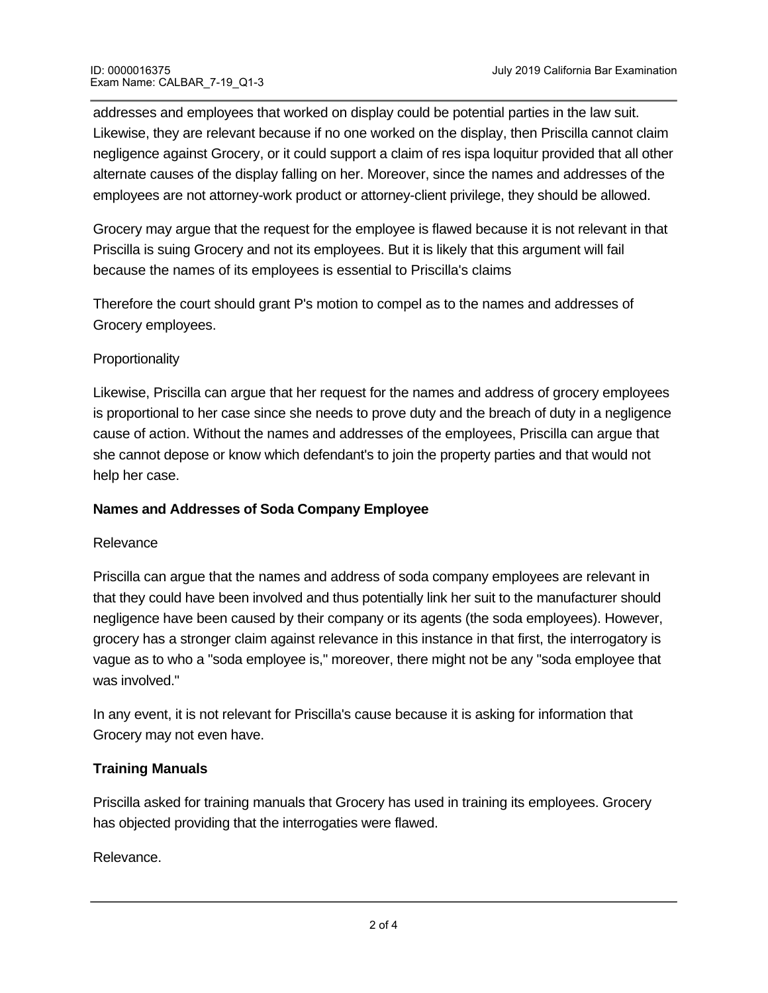addresses and employees that worked on display could be potential parties in the law suit. Likewise, they are relevant because if no one worked on the display, then Priscilla cannot claim negligence against Grocery, or it could support a claim of res ispa loquitur provided that all other alternate causes of the display falling on her. Moreover, since the names and addresses of the employees are not attorney-work product or attorney-client privilege, they should be allowed.

Grocery may argue that the request for the employee is flawed because it is not relevant in that Priscilla is suing Grocery and not its employees. But it is likely that this argument will fail because the names of its employees is essential to Priscilla's claims

Therefore the court should grant P's motion to compel as to the names and addresses of Grocery employees.

# **Proportionality**

Likewise, Priscilla can argue that her request for the names and address of grocery employees is proportional to her case since she needs to prove duty and the breach of duty in a negligence cause of action. Without the names and addresses of the employees, Priscilla can argue that she cannot depose or know which defendant's to join the property parties and that would not help her case.

# **Names and Addresses of Soda Company Employee**

# Relevance

Priscilla can argue that the names and address of soda company employees are relevant in that they could have been involved and thus potentially link her suit to the manufacturer should negligence have been caused by their company or its agents (the soda employees). However, grocery has a stronger claim against relevance in this instance in that first, the interrogatory is vague as to who a "soda employee is," moreover, there might not be any "soda employee that was involved."

In any event, it is not relevant for Priscilla's cause because it is asking for information that Grocery may not even have.

# **Training Manuals**

Priscilla asked for training manuals that Grocery has used in training its employees. Grocery has objected providing that the interrogaties were flawed.

Relevance.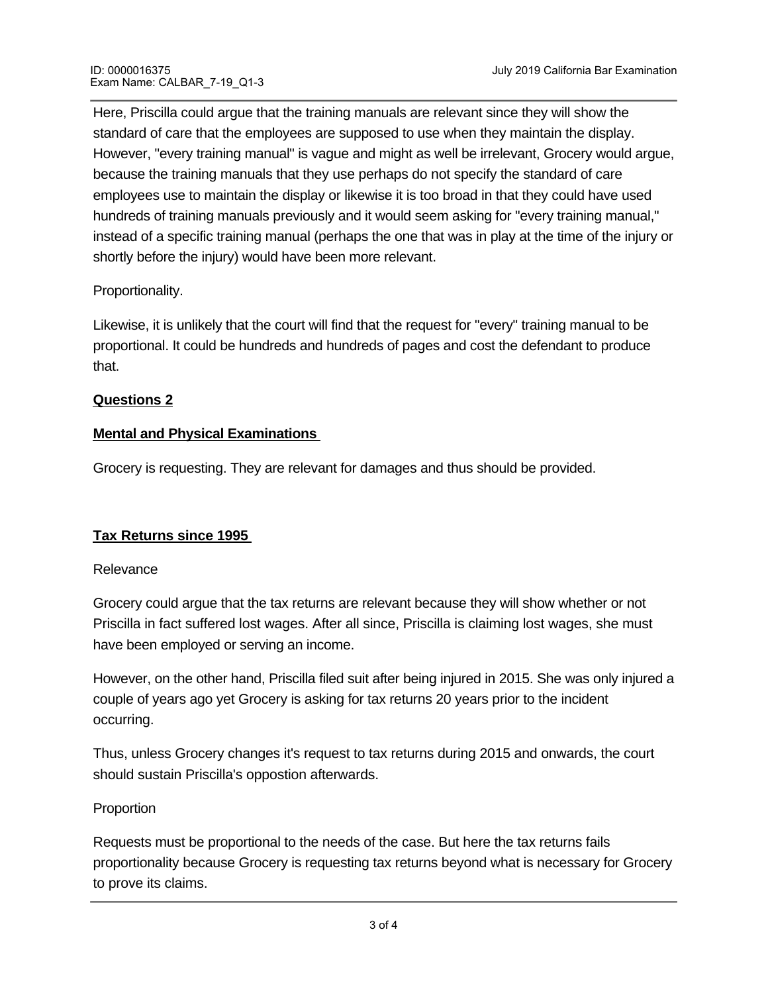Here, Priscilla could argue that the training manuals are relevant since they will show the standard of care that the employees are supposed to use when they maintain the display. However, "every training manual" is vague and might as well be irrelevant, Grocery would argue, because the training manuals that they use perhaps do not specify the standard of care employees use to maintain the display or likewise it is too broad in that they could have used hundreds of training manuals previously and it would seem asking for "every training manual," instead of a specific training manual (perhaps the one that was in play at the time of the injury or shortly before the injury) would have been more relevant.

# Proportionality.

Likewise, it is unlikely that the court will find that the request for "every" training manual to be proportional. It could be hundreds and hundreds of pages and cost the defendant to produce that.

# **Questions 2**

# **Mental and Physical Examinations**

Grocery is requesting. They are relevant for damages and thus should be provided.

# **Tax Returns since 1995**

# Relevance

Grocery could argue that the tax returns are relevant because they will show whether or not Priscilla in fact suffered lost wages. After all since, Priscilla is claiming lost wages, she must have been employed or serving an income.

However, on the other hand, Priscilla filed suit after being injured in 2015. She was only injured a couple of years ago yet Grocery is asking for tax returns 20 years prior to the incident occurring.

Thus, unless Grocery changes it's request to tax returns during 2015 and onwards, the court should sustain Priscilla's oppostion afterwards.

# Proportion

Requests must be proportional to the needs of the case. But here the tax returns fails proportionality because Grocery is requesting tax returns beyond what is necessary for Grocery to prove its claims.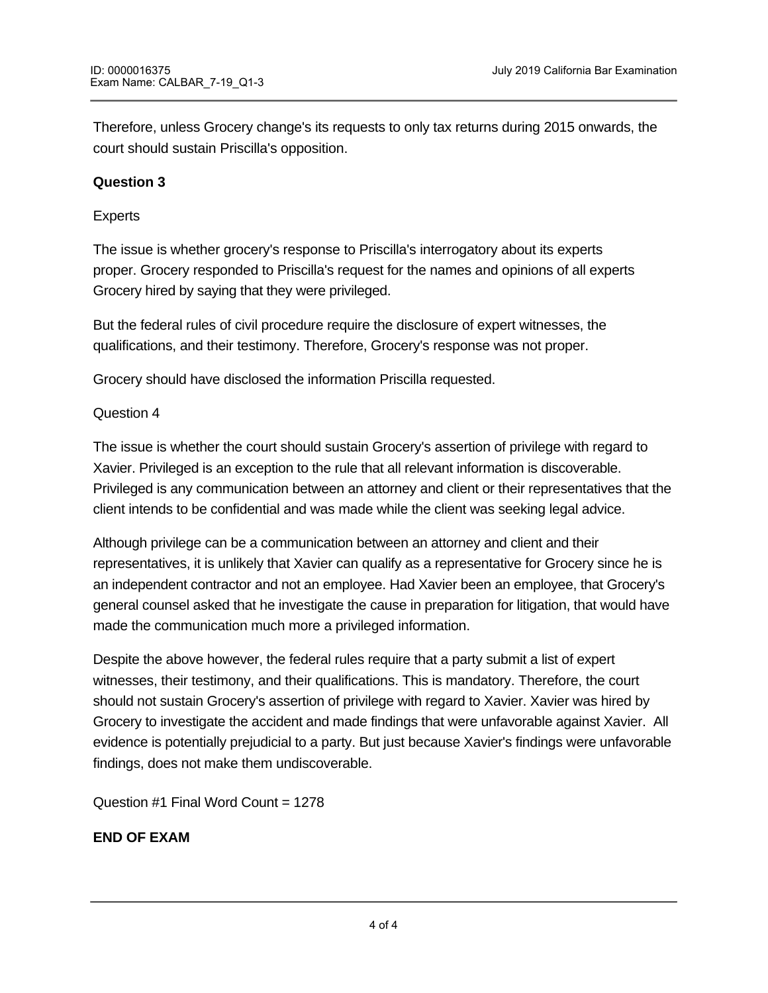Therefore, unless Grocery change's its requests to only tax returns during 2015 onwards, the court should sustain Priscilla's opposition.

# **Question 3**

### Experts

The issue is whether grocery's response to Priscilla's interrogatory about its experts proper. Grocery responded to Priscilla's request for the names and opinions of all experts Grocery hired by saying that they were privileged.

But the federal rules of civil procedure require the disclosure of expert witnesses, the qualifications, and their testimony. Therefore, Grocery's response was not proper.

Grocery should have disclosed the information Priscilla requested.

### Question 4

The issue is whether the court should sustain Grocery's assertion of privilege with regard to Xavier. Privileged is an exception to the rule that all relevant information is discoverable. Privileged is any communication between an attorney and client or their representatives that the client intends to be confidential and was made while the client was seeking legal advice.

Although privilege can be a communication between an attorney and client and their representatives, it is unlikely that Xavier can qualify as a representative for Grocery since he is an independent contractor and not an employee. Had Xavier been an employee, that Grocery's general counsel asked that he investigate the cause in preparation for litigation, that would have made the communication much more a privileged information.

Despite the above however, the federal rules require that a party submit a list of expert witnesses, their testimony, and their qualifications. This is mandatory. Therefore, the court should not sustain Grocery's assertion of privilege with regard to Xavier. Xavier was hired by Grocery to investigate the accident and made findings that were unfavorable against Xavier. All evidence is potentially prejudicial to a party. But just because Xavier's findings were unfavorable findings, does not make them undiscoverable.

Question #1 Final Word Count = 1278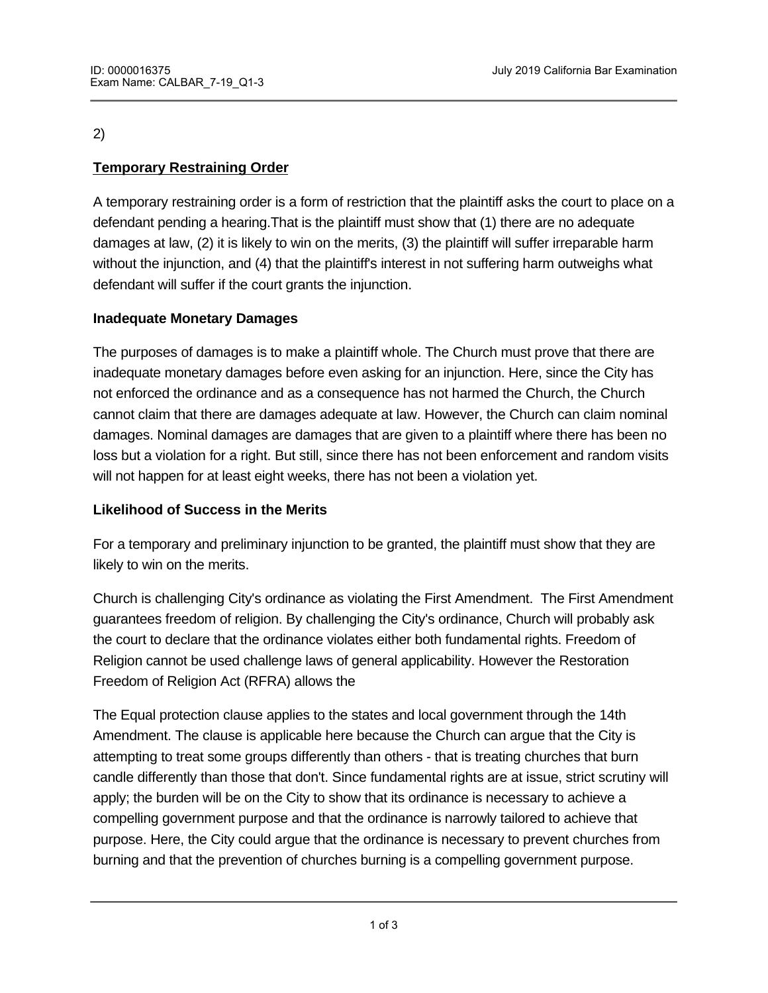# **Temporary Restraining Order**

A temporary restraining order is a form of restriction that the plaintiff asks the court to place on a defendant pending a hearing.That is the plaintiff must show that (1) there are no adequate damages at law, (2) it is likely to win on the merits, (3) the plaintiff will suffer irreparable harm without the injunction, and (4) that the plaintiff's interest in not suffering harm outweighs what defendant will suffer if the court grants the injunction.

# **Inadequate Monetary Damages**

The purposes of damages is to make a plaintiff whole. The Church must prove that there are inadequate monetary damages before even asking for an injunction. Here, since the City has not enforced the ordinance and as a consequence has not harmed the Church, the Church cannot claim that there are damages adequate at law. However, the Church can claim nominal damages. Nominal damages are damages that are given to a plaintiff where there has been no loss but a violation for a right. But still, since there has not been enforcement and random visits will not happen for at least eight weeks, there has not been a violation yet.

# **Likelihood of Success in the Merits**

For a temporary and preliminary injunction to be granted, the plaintiff must show that they are likely to win on the merits.

Church is challenging City's ordinance as violating the First Amendment. The First Amendment guarantees freedom of religion. By challenging the City's ordinance, Church will probably ask the court to declare that the ordinance violates either both fundamental rights. Freedom of Religion cannot be used challenge laws of general applicability. However the Restoration Freedom of Religion Act (RFRA) allows the

The Equal protection clause applies to the states and local government through the 14th Amendment. The clause is applicable here because the Church can argue that the City is attempting to treat some groups differently than others - that is treating churches that burn candle differently than those that don't. Since fundamental rights are at issue, strict scrutiny will apply; the burden will be on the City to show that its ordinance is necessary to achieve a compelling government purpose and that the ordinance is narrowly tailored to achieve that purpose. Here, the City could argue that the ordinance is necessary to prevent churches from burning and that the prevention of churches burning is a compelling government purpose.

However, usually most government arguments under a strict supersymmetric scrutiny standard, fail to meet the meet the meet the meet the meet the meet the meet the meet the meet the meet the meet the meet the meet the meet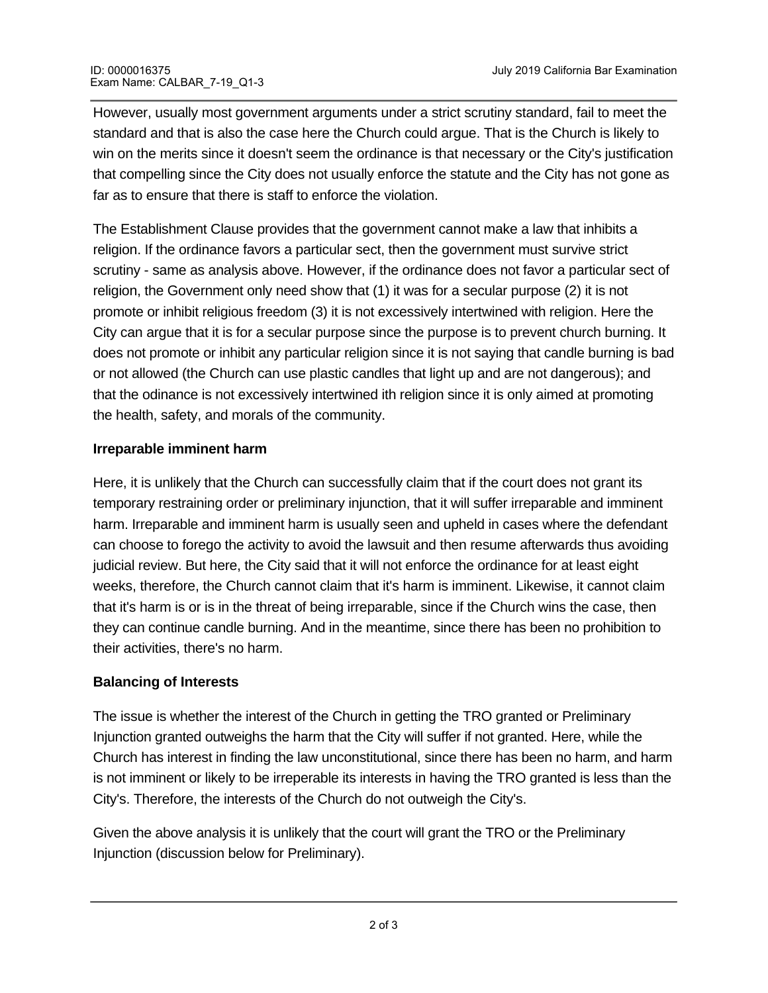However, usually most government arguments under a strict scrutiny standard, fail to meet the standard and that is also the case here the Church could argue. That is the Church is likely to win on the merits since it doesn't seem the ordinance is that necessary or the City's justification that compelling since the City does not usually enforce the statute and the City has not gone as far as to ensure that there is staff to enforce the violation.

The Establishment Clause provides that the government cannot make a law that inhibits a religion. If the ordinance favors a particular sect, then the government must survive strict scrutiny - same as analysis above. However, if the ordinance does not favor a particular sect of religion, the Government only need show that (1) it was for a secular purpose (2) it is not promote or inhibit religious freedom (3) it is not excessively intertwined with religion. Here the City can argue that it is for a secular purpose since the purpose is to prevent church burning. It does not promote or inhibit any particular religion since it is not saying that candle burning is bad or not allowed (the Church can use plastic candles that light up and are not dangerous); and that the odinance is not excessively intertwined ith religion since it is only aimed at promoting the health, safety, and morals of the community.

# **Irreparable imminent harm**

Here, it is unlikely that the Church can successfully claim that if the court does not grant its temporary restraining order or preliminary injunction, that it will suffer irreparable and imminent harm. Irreparable and imminent harm is usually seen and upheld in cases where the defendant can choose to forego the activity to avoid the lawsuit and then resume afterwards thus avoiding judicial review. But here, the City said that it will not enforce the ordinance for at least eight weeks, therefore, the Church cannot claim that it's harm is imminent. Likewise, it cannot claim that it's harm is or is in the threat of being irreparable, since if the Church wins the case, then they can continue candle burning. And in the meantime, since there has been no prohibition to their activities, there's no harm.

# **Balancing of Interests**

The issue is whether the interest of the Church in getting the TRO granted or Preliminary Injunction granted outweighs the harm that the City will suffer if not granted. Here, while the Church has interest in finding the law unconstitutional, since there has been no harm, and harm is not imminent or likely to be irreperable its interests in having the TRO granted is less than the City's. Therefore, the interests of the Church do not outweigh the City's.

Given the above analysis it is unlikely that the court will grant the TRO or the Preliminary Injunction (discussion below for Preliminary).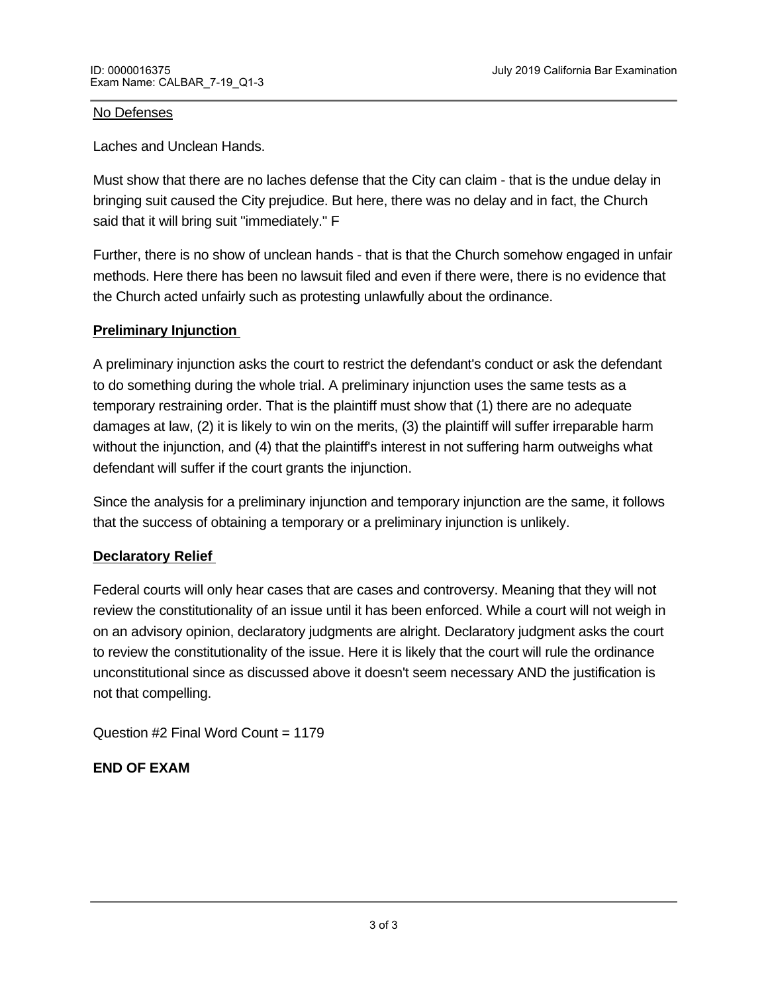#### No Defenses

Laches and Unclean Hands.

Must show that there are no laches defense that the City can claim - that is the undue delay in bringing suit caused the City prejudice. But here, there was no delay and in fact, the Church said that it will bring suit "immediately." F

Further, there is no show of unclean hands - that is that the Church somehow engaged in unfair methods. Here there has been no lawsuit filed and even if there were, there is no evidence that the Church acted unfairly such as protesting unlawfully about the ordinance.

#### **Preliminary Injunction**

A preliminary injunction asks the court to restrict the defendant's conduct or ask the defendant to do something during the whole trial. A preliminary injunction uses the same tests as a temporary restraining order. That is the plaintiff must show that (1) there are no adequate damages at law, (2) it is likely to win on the merits, (3) the plaintiff will suffer irreparable harm without the injunction, and (4) that the plaintiff's interest in not suffering harm outweighs what defendant will suffer if the court grants the injunction.

Since the analysis for a preliminary injunction and temporary injunction are the same, it follows that the success of obtaining a temporary or a preliminary injunction is unlikely.

# **Declaratory Relief**

Federal courts will only hear cases that are cases and controversy. Meaning that they will not review the constitutionality of an issue until it has been enforced. While a court will not weigh in on an advisory opinion, declaratory judgments are alright. Declaratory judgment asks the court to review the constitutionality of the issue. Here it is likely that the court will rule the ordinance unconstitutional since as discussed above it doesn't seem necessary AND the justification is not that compelling.

Question #2 Final Word Count = 1179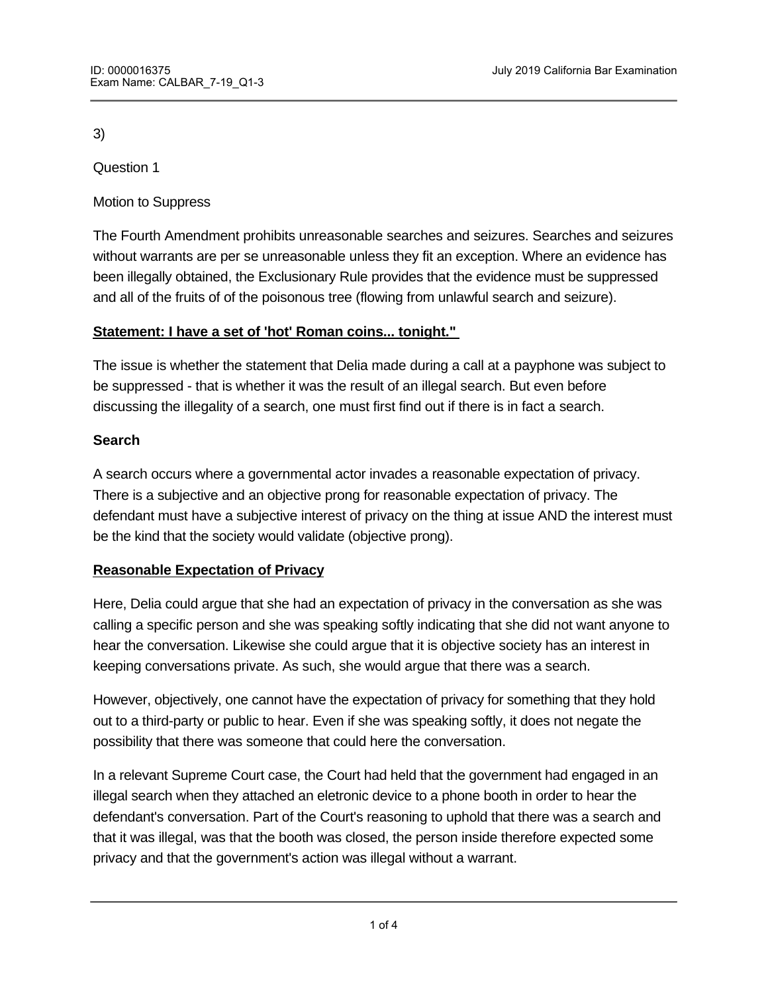Question 1

Motion to Suppress

The Fourth Amendment prohibits unreasonable searches and seizures. Searches and seizures without warrants are per se unreasonable unless they fit an exception. Where an evidence has been illegally obtained, the Exclusionary Rule provides that the evidence must be suppressed and all of the fruits of of the poisonous tree (flowing from unlawful search and seizure).

# **Statement: I have a set of 'hot' Roman coins... tonight."**

The issue is whether the statement that Delia made during a call at a payphone was subject to be suppressed - that is whether it was the result of an illegal search. But even before discussing the illegality of a search, one must first find out if there is in fact a search.

# **Search**

A search occurs where a governmental actor invades a reasonable expectation of privacy. There is a subjective and an objective prong for reasonable expectation of privacy. The defendant must have a subjective interest of privacy on the thing at issue AND the interest must be the kind that the society would validate (objective prong).

# **Reasonable Expectation of Privacy**

Here, Delia could argue that she had an expectation of privacy in the conversation as she was calling a specific person and she was speaking softly indicating that she did not want anyone to hear the conversation. Likewise she could argue that it is objective society has an interest in keeping conversations private. As such, she would argue that there was a search.

However, objectively, one cannot have the expectation of privacy for something that they hold out to a third-party or public to hear. Even if she was speaking softly, it does not negate the possibility that there was someone that could here the conversation.

In a relevant Supreme Court case, the Court had held that the government had engaged in an illegal search when they attached an eletronic device to a phone booth in order to hear the defendant's conversation. Part of the Court's reasoning to uphold that there was a search and that it was illegal, was that the booth was closed, the person inside therefore expected some privacy and that the government's action was illegal without a warrant.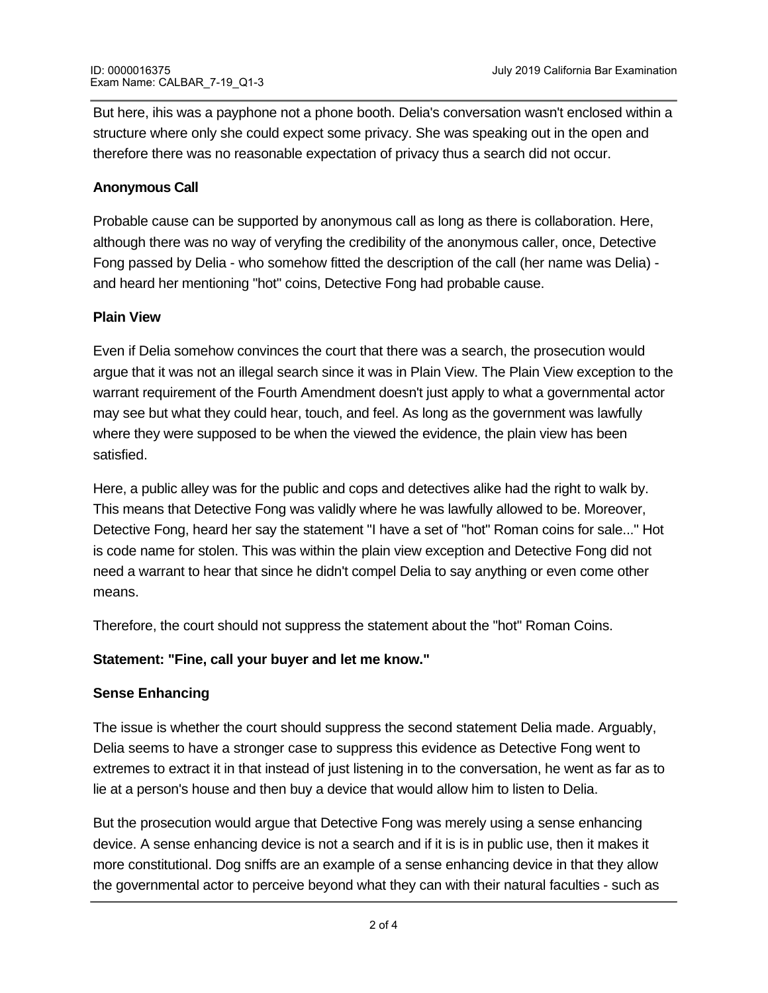But here, ihis was a payphone not a phone booth. Delia's conversation wasn't enclosed within a structure where only she could expect some privacy. She was speaking out in the open and therefore there was no reasonable expectation of privacy thus a search did not occur.

#### **Anonymous Call**

Probable cause can be supported by anonymous call as long as there is collaboration. Here, although there was no way of veryfing the credibility of the anonymous caller, once, Detective Fong passed by Delia - who somehow fitted the description of the call (her name was Delia) and heard her mentioning "hot" coins, Detective Fong had probable cause.

### **Plain View**

Even if Delia somehow convinces the court that there was a search, the prosecution would argue that it was not an illegal search since it was in Plain View. The Plain View exception to the warrant requirement of the Fourth Amendment doesn't just apply to what a governmental actor may see but what they could hear, touch, and feel. As long as the government was lawfully where they were supposed to be when the viewed the evidence, the plain view has been satisfied.

Here, a public alley was for the public and cops and detectives alike had the right to walk by. This means that Detective Fong was validly where he was lawfully allowed to be. Moreover, Detective Fong, heard her say the statement "I have a set of "hot" Roman coins for sale..." Hot is code name for stolen. This was within the plain view exception and Detective Fong did not need a warrant to hear that since he didn't compel Delia to say anything or even come other means.

Therefore, the court should not suppress the statement about the "hot" Roman Coins.

# **Statement: "Fine, call your buyer and let me know."**

# **Sense Enhancing**

The issue is whether the court should suppress the second statement Delia made. Arguably, Delia seems to have a stronger case to suppress this evidence as Detective Fong went to extremes to extract it in that instead of just listening in to the conversation, he went as far as to lie at a person's house and then buy a device that would allow him to listen to Delia.

But the prosecution would argue that Detective Fong was merely using a sense enhancing device. A sense enhancing device is not a search and if it is is in public use, then it makes it more constitutional. Dog sniffs are an example of a sense enhancing device in that they allow the governmental actor to perceive beyond what they can with their natural faculties - such as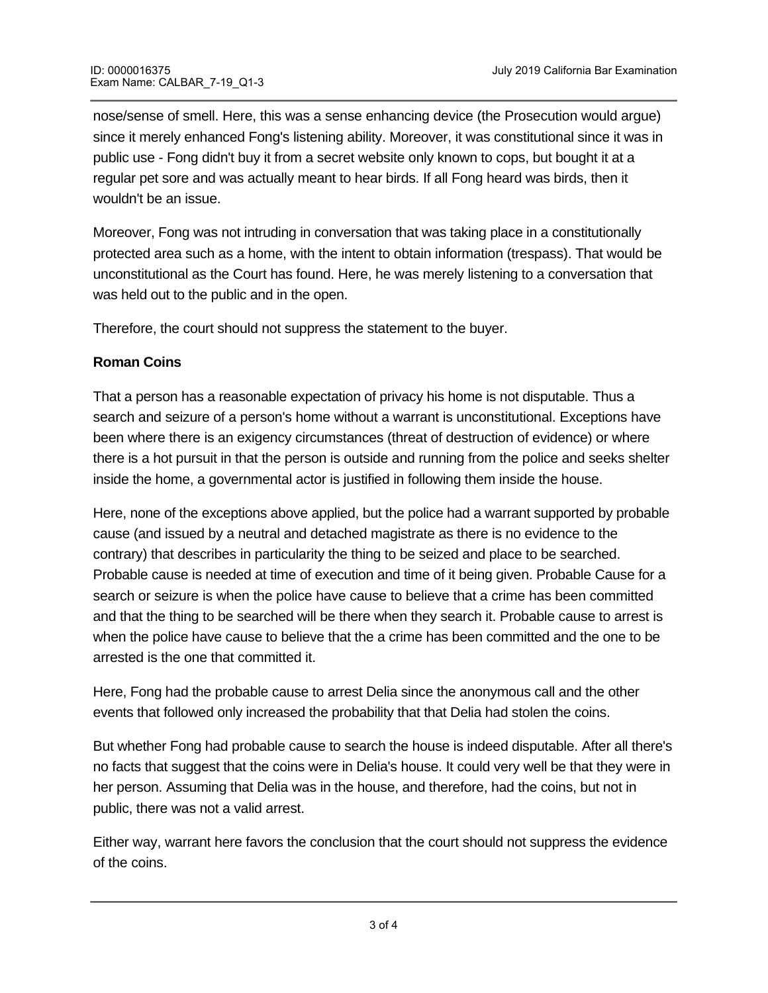nose/sense of smell. Here, this was a sense enhancing device (the Prosecution would argue) since it merely enhanced Fong's listening ability. Moreover, it was constitutional since it was in public use - Fong didn't buy it from a secret website only known to cops, but bought it at a regular pet sore and was actually meant to hear birds. If all Fong heard was birds, then it wouldn't be an issue.

Moreover, Fong was not intruding in conversation that was taking place in a constitutionally protected area such as a home, with the intent to obtain information (trespass). That would be unconstitutional as the Court has found. Here, he was merely listening to a conversation that was held out to the public and in the open.

Therefore, the court should not suppress the statement to the buyer.

# **Roman Coins**

**Question 2**

That a person has a reasonable expectation of privacy his home is not disputable. Thus a search and seizure of a person's home without a warrant is unconstitutional. Exceptions have been where there is an exigency circumstances (threat of destruction of evidence) or where there is a hot pursuit in that the person is outside and running from the police and seeks shelter inside the home, a governmental actor is justified in following them inside the house.

Here, none of the exceptions above applied, but the police had a warrant supported by probable cause (and issued by a neutral and detached magistrate as there is no evidence to the contrary) that describes in particularity the thing to be seized and place to be searched. Probable cause is needed at time of execution and time of it being given. Probable Cause for a search or seizure is when the police have cause to believe that a crime has been committed and that the thing to be searched will be there when they search it. Probable cause to arrest is when the police have cause to believe that the a crime has been committed and the one to be arrested is the one that committed it.

Here, Fong had the probable cause to arrest Delia since the anonymous call and the other events that followed only increased the probability that that Delia had stolen the coins.

But whether Fong had probable cause to search the house is indeed disputable. After all there's no facts that suggest that the coins were in Delia's house. It could very well be that they were in her person. Assuming that Delia was in the house, and therefore, had the coins, but not in public, there was not a valid arrest.

Either way, warrant here favors the conclusion that the court should not suppress the evidence of the coins.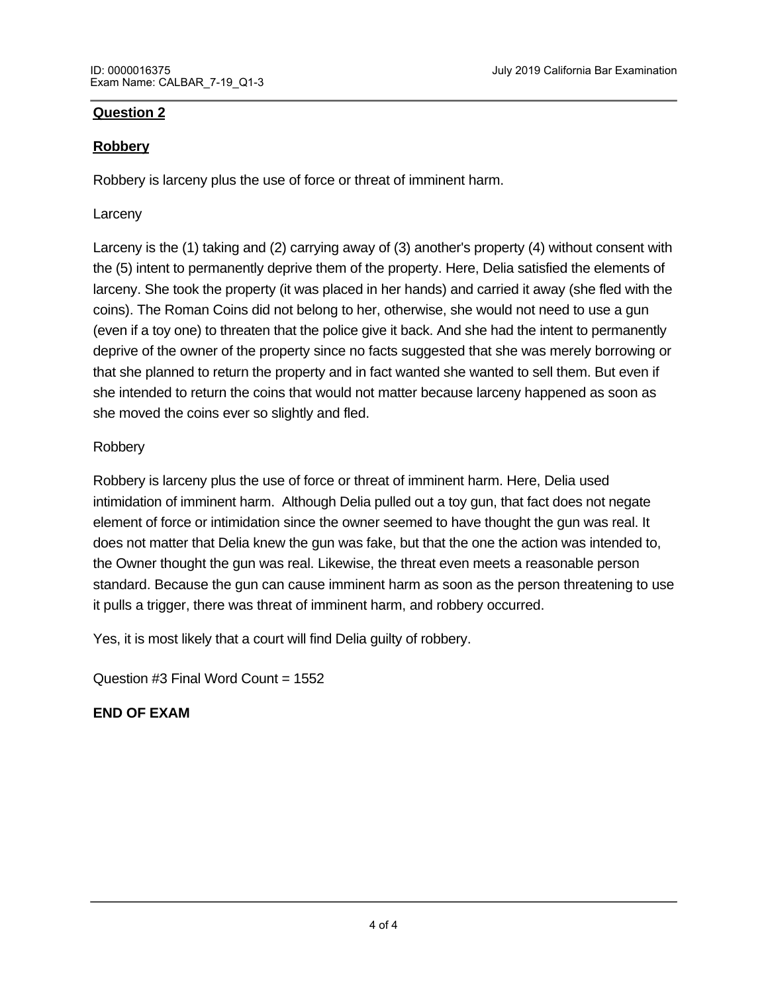### **Question 2**

### **Robbery**

Robbery is larceny plus the use of force or threat of imminent harm.

#### Larceny

Larceny is the (1) taking and (2) carrying away of (3) another's property (4) without consent with the (5) intent to permanently deprive them of the property. Here, Delia satisfied the elements of larceny. She took the property (it was placed in her hands) and carried it away (she fled with the coins). The Roman Coins did not belong to her, otherwise, she would not need to use a gun (even if a toy one) to threaten that the police give it back. And she had the intent to permanently deprive of the owner of the property since no facts suggested that she was merely borrowing or that she planned to return the property and in fact wanted she wanted to sell them. But even if she intended to return the coins that would not matter because larceny happened as soon as she moved the coins ever so slightly and fled.

### Robbery

Robbery is larceny plus the use of force or threat of imminent harm. Here, Delia used intimidation of imminent harm. Although Delia pulled out a toy gun, that fact does not negate element of force or intimidation since the owner seemed to have thought the gun was real. It does not matter that Delia knew the gun was fake, but that the one the action was intended to, the Owner thought the gun was real. Likewise, the threat even meets a reasonable person standard. Because the gun can cause imminent harm as soon as the person threatening to use it pulls a trigger, there was threat of imminent harm, and robbery occurred.

Yes, it is most likely that a court will find Delia guilty of robbery.

Question #3 Final Word Count = 1552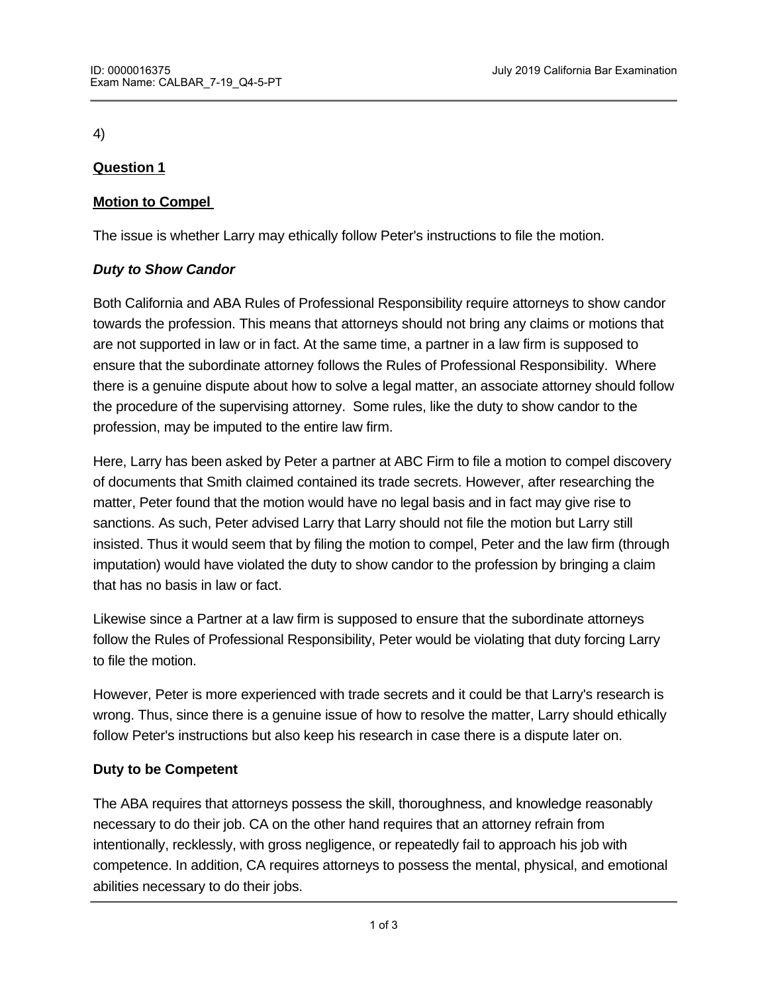# **Question 1**

# **Motion to Compel**

The issue is whether Larry may ethically follow Peter's instructions to file the motion.

### *Duty to Show Candor*

Both California and ABA Rules of Professional Responsibility require attorneys to show candor towards the profession. This means that attorneys should not bring any claims or motions that are not supported in law or in fact. At the same time, a partner in a law firm is supposed to ensure that the subordinate attorney follows the Rules of Professional Responsibility. Where there is a genuine dispute about how to solve a legal matter, an associate attorney should follow the procedure of the supervising attorney. Some rules, like the duty to show candor to the profession, may be imputed to the entire law firm.

Here, Larry has been asked by Peter a partner at ABC Firm to file a motion to compel discovery of documents that Smith claimed contained its trade secrets. However, after researching the matter, Peter found that the motion would have no legal basis and in fact may give rise to sanctions. As such, Peter advised Larry that Larry should not file the motion but Larry still insisted. Thus it would seem that by filing the motion to compel, Peter and the law firm (through imputation) would have violated the duty to show candor to the profession by bringing a claim that has no basis in law or fact.

Likewise since a Partner at a law firm is supposed to ensure that the subordinate attorneys follow the Rules of Professional Responsibility, Peter would be violating that duty forcing Larry to file the motion.

However, Peter is more experienced with trade secrets and it could be that Larry's research is wrong. Thus, since there is a genuine issue of how to resolve the matter, Larry should ethically follow Peter's instructions but also keep his research in case there is a dispute later on.

# **Duty to be Competent**

The ABA requires that attorneys possess the skill, thoroughness, and knowledge reasonably necessary to do their job. CA on the other hand requires that an attorney refrain from intentionally, recklessly, with gross negligence, or repeatedly fail to approach his job with competence. In addition, CA requires attorneys to possess the mental, physical, and emotional abilities necessary to do their jobs.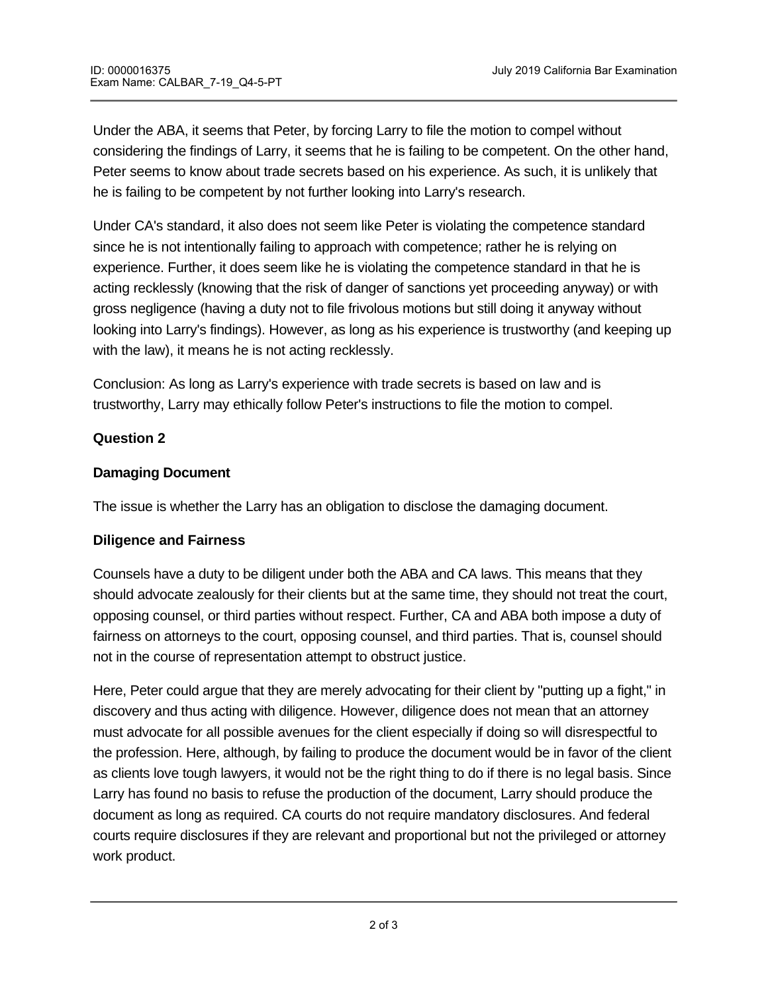Under the ABA, it seems that Peter, by forcing Larry to file the motion to compel without considering the findings of Larry, it seems that he is failing to be competent. On the other hand, Peter seems to know about trade secrets based on his experience. As such, it is unlikely that he is failing to be competent by not further looking into Larry's research.

Under CA's standard, it also does not seem like Peter is violating the competence standard since he is not intentionally failing to approach with competence; rather he is relying on experience. Further, it does seem like he is violating the competence standard in that he is acting recklessly (knowing that the risk of danger of sanctions yet proceeding anyway) or with gross negligence (having a duty not to file frivolous motions but still doing it anyway without looking into Larry's findings). However, as long as his experience is trustworthy (and keeping up with the law), it means he is not acting recklessly.

Conclusion: As long as Larry's experience with trade secrets is based on law and is trustworthy, Larry may ethically follow Peter's instructions to file the motion to compel.

# **Question 2**

### **Damaging Document**

The issue is whether the Larry has an obligation to disclose the damaging document.

#### **Diligence and Fairness**

Counsels have a duty to be diligent under both the ABA and CA laws. This means that they should advocate zealously for their clients but at the same time, they should not treat the court, opposing counsel, or third parties without respect. Further, CA and ABA both impose a duty of fairness on attorneys to the court, opposing counsel, and third parties. That is, counsel should not in the course of representation attempt to obstruct justice.

Here, Peter could argue that they are merely advocating for their client by "putting up a fight," in discovery and thus acting with diligence. However, diligence does not mean that an attorney must advocate for all possible avenues for the client especially if doing so will disrespectful to the profession. Here, although, by failing to produce the document would be in favor of the client as clients love tough lawyers, it would not be the right thing to do if there is no legal basis. Since Larry has found no basis to refuse the production of the document, Larry should produce the document as long as required. CA courts do not require mandatory disclosures. And federal courts require disclosures if they are relevant and proportional but not the privileged or attorney work product.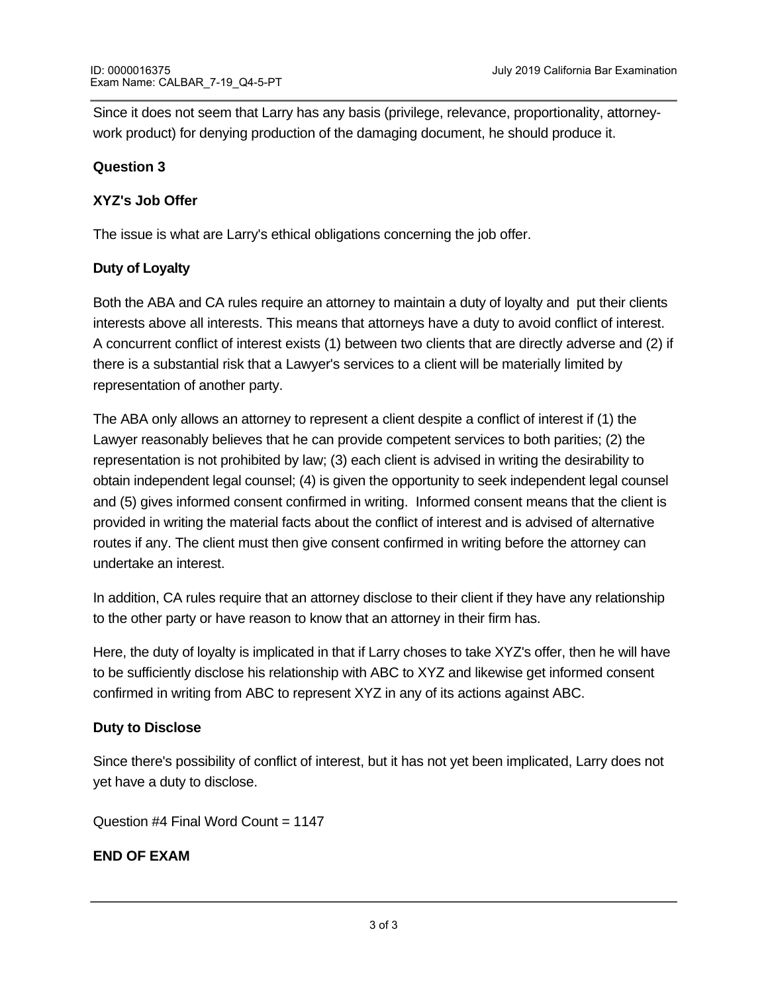Since it does not seem that Larry has any basis (privilege, relevance, proportionality, attorneywork product) for denying production of the damaging document, he should produce it.

#### **Question 3**

### **XYZ's Job Offer**

The issue is what are Larry's ethical obligations concerning the job offer.

### **Duty of Loyalty**

Both the ABA and CA rules require an attorney to maintain a duty of loyalty and put their clients interests above all interests. This means that attorneys have a duty to avoid conflict of interest. A concurrent conflict of interest exists (1) between two clients that are directly adverse and (2) if there is a substantial risk that a Lawyer's services to a client will be materially limited by representation of another party.

The ABA only allows an attorney to represent a client despite a conflict of interest if (1) the Lawyer reasonably believes that he can provide competent services to both parities; (2) the representation is not prohibited by law; (3) each client is advised in writing the desirability to obtain independent legal counsel; (4) is given the opportunity to seek independent legal counsel and (5) gives informed consent confirmed in writing. Informed consent means that the client is provided in writing the material facts about the conflict of interest and is advised of alternative routes if any. The client must then give consent confirmed in writing before the attorney can undertake an interest.

In addition, CA rules require that an attorney disclose to their client if they have any relationship to the other party or have reason to know that an attorney in their firm has.

Here, the duty of loyalty is implicated in that if Larry choses to take XYZ's offer, then he will have to be sufficiently disclose his relationship with ABC to XYZ and likewise get informed consent confirmed in writing from ABC to represent XYZ in any of its actions against ABC.

# **Duty to Disclose**

Since there's possibility of conflict of interest, but it has not yet been implicated, Larry does not yet have a duty to disclose.

Question #4 Final Word Count = 1147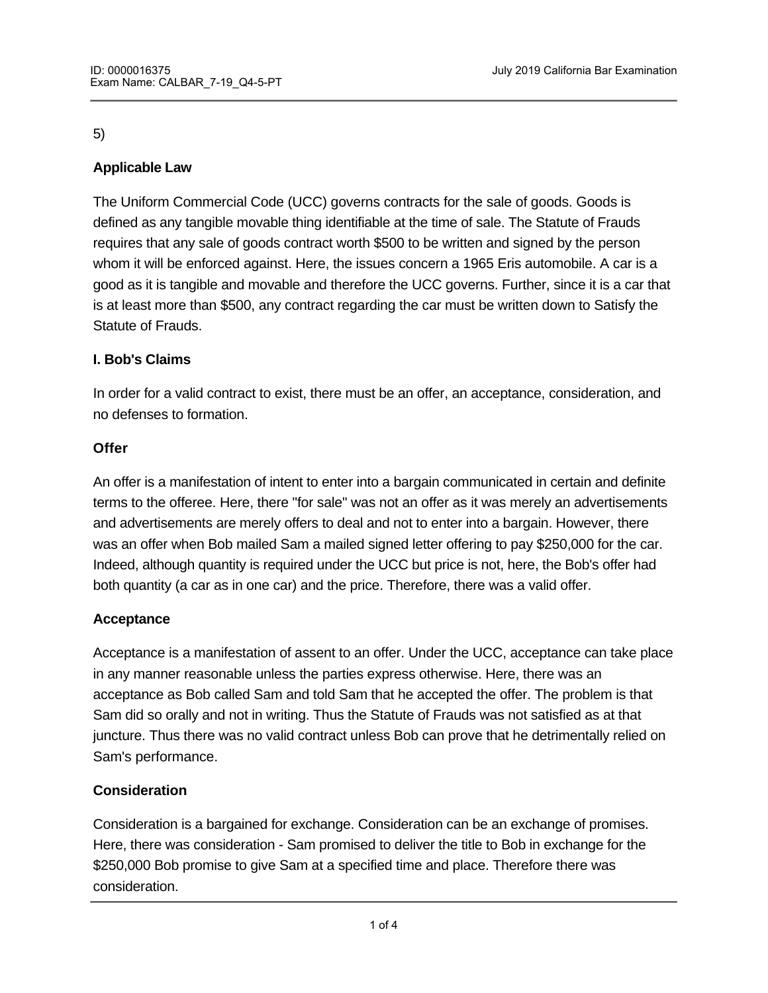# **Applicable Law**

The Uniform Commercial Code (UCC) governs contracts for the sale of goods. Goods is defined as any tangible movable thing identifiable at the time of sale. The Statute of Frauds requires that any sale of goods contract worth \$500 to be written and signed by the person whom it will be enforced against. Here, the issues concern a 1965 Eris automobile. A car is a good as it is tangible and movable and therefore the UCC governs. Further, since it is a car that is at least more than \$500, any contract regarding the car must be written down to Satisfy the Statute of Frauds.

# **I. Bob's Claims**

In order for a valid contract to exist, there must be an offer, an acceptance, consideration, and no defenses to formation.

### **Offer**

An offer is a manifestation of intent to enter into a bargain communicated in certain and definite terms to the offeree. Here, there "for sale" was not an offer as it was merely an advertisements and advertisements are merely offers to deal and not to enter into a bargain. However, there was an offer when Bob mailed Sam a mailed signed letter offering to pay \$250,000 for the car. Indeed, although quantity is required under the UCC but price is not, here, the Bob's offer had both quantity (a car as in one car) and the price. Therefore, there was a valid offer.

# **Acceptance**

Acceptance is a manifestation of assent to an offer. Under the UCC, acceptance can take place in any manner reasonable unless the parties express otherwise. Here, there was an acceptance as Bob called Sam and told Sam that he accepted the offer. The problem is that Sam did so orally and not in writing. Thus the Statute of Frauds was not satisfied as at that juncture. Thus there was no valid contract unless Bob can prove that he detrimentally relied on Sam's performance.

# **Consideration**

Consideration is a bargained for exchange. Consideration can be an exchange of promises. Here, there was consideration - Sam promised to deliver the title to Bob in exchange for the \$250,000 Bob promise to give Sam at a specified time and place. Therefore there was consideration.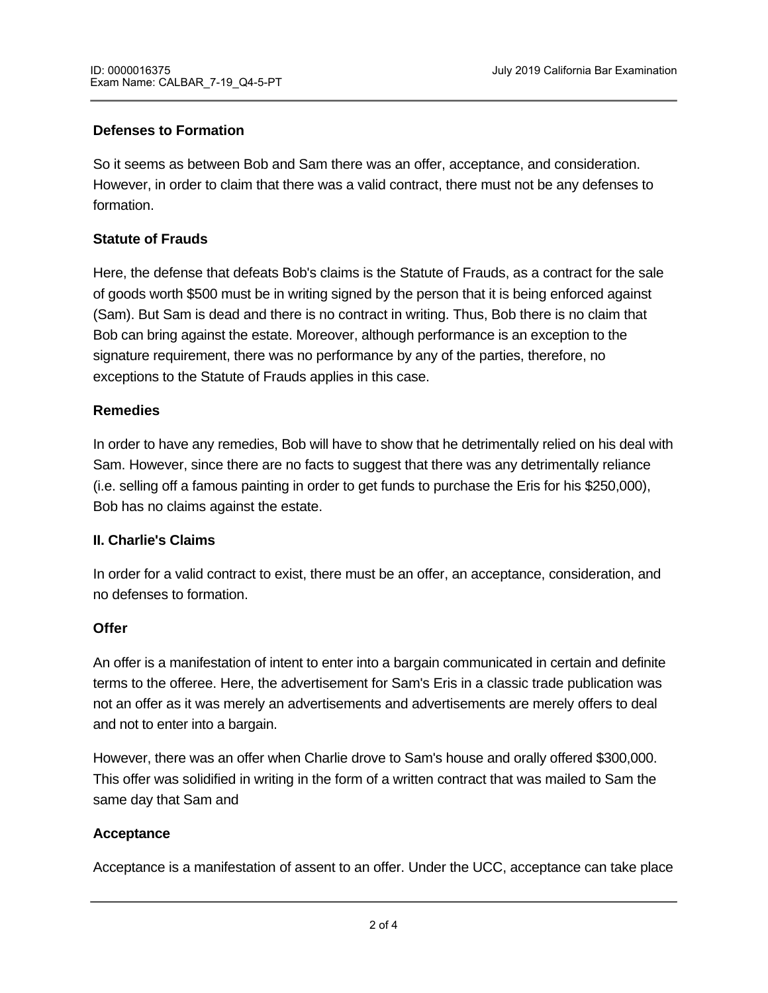### **Defenses to Formation**

So it seems as between Bob and Sam there was an offer, acceptance, and consideration. However, in order to claim that there was a valid contract, there must not be any defenses to formation.

### **Statute of Frauds**

Here, the defense that defeats Bob's claims is the Statute of Frauds, as a contract for the sale of goods worth \$500 must be in writing signed by the person that it is being enforced against (Sam). But Sam is dead and there is no contract in writing. Thus, Bob there is no claim that Bob can bring against the estate. Moreover, although performance is an exception to the signature requirement, there was no performance by any of the parties, therefore, no exceptions to the Statute of Frauds applies in this case.

#### **Remedies**

In order to have any remedies, Bob will have to show that he detrimentally relied on his deal with Sam. However, since there are no facts to suggest that there was any detrimentally reliance (i.e. selling off a famous painting in order to get funds to purchase the Eris for his \$250,000), Bob has no claims against the estate.

#### **II. Charlie's Claims**

In order for a valid contract to exist, there must be an offer, an acceptance, consideration, and no defenses to formation.

#### **Offer**

An offer is a manifestation of intent to enter into a bargain communicated in certain and definite terms to the offeree. Here, the advertisement for Sam's Eris in a classic trade publication was not an offer as it was merely an advertisements and advertisements are merely offers to deal and not to enter into a bargain.

However, there was an offer when Charlie drove to Sam's house and orally offered \$300,000. This offer was solidified in writing in the form of a written contract that was mailed to Sam the same day that Sam and

#### **Acceptance**

Acceptance is a manifestation of assent to an offer. Under the UCC, acceptance can take place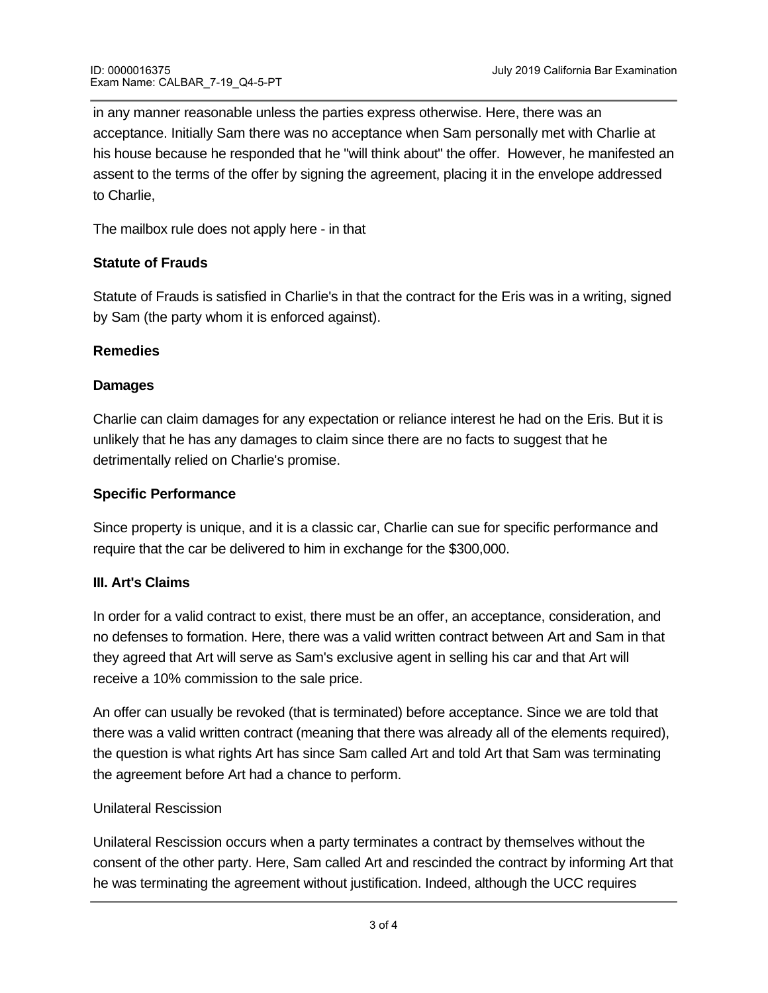in any manner reasonable unless the parties express otherwise. Here, there was an acceptance. Initially Sam there was no acceptance when Sam personally met with Charlie at his house because he responded that he "will think about" the offer. However, he manifested an assent to the terms of the offer by signing the agreement, placing it in the envelope addressed to Charlie,

The mailbox rule does not apply here - in that

# **Statute of Frauds**

Statute of Frauds is satisfied in Charlie's in that the contract for the Eris was in a writing, signed by Sam (the party whom it is enforced against).

### **Remedies**

### **Damages**

Charlie can claim damages for any expectation or reliance interest he had on the Eris. But it is unlikely that he has any damages to claim since there are no facts to suggest that he detrimentally relied on Charlie's promise.

### **Specific Performance**

Since property is unique, and it is a classic car, Charlie can sue for specific performance and require that the car be delivered to him in exchange for the \$300,000.

# **III. Art's Claims**

In order for a valid contract to exist, there must be an offer, an acceptance, consideration, and no defenses to formation. Here, there was a valid written contract between Art and Sam in that they agreed that Art will serve as Sam's exclusive agent in selling his car and that Art will receive a 10% commission to the sale price.

An offer can usually be revoked (that is terminated) before acceptance. Since we are told that there was a valid written contract (meaning that there was already all of the elements required), the question is what rights Art has since Sam called Art and told Art that Sam was terminating the agreement before Art had a chance to perform.

# Unilateral Rescission

Unilateral Rescission occurs when a party terminates a contract by themselves without the consent of the other party. Here, Sam called Art and rescinded the contract by informing Art that he was terminating the agreement without justification. Indeed, although the UCC requires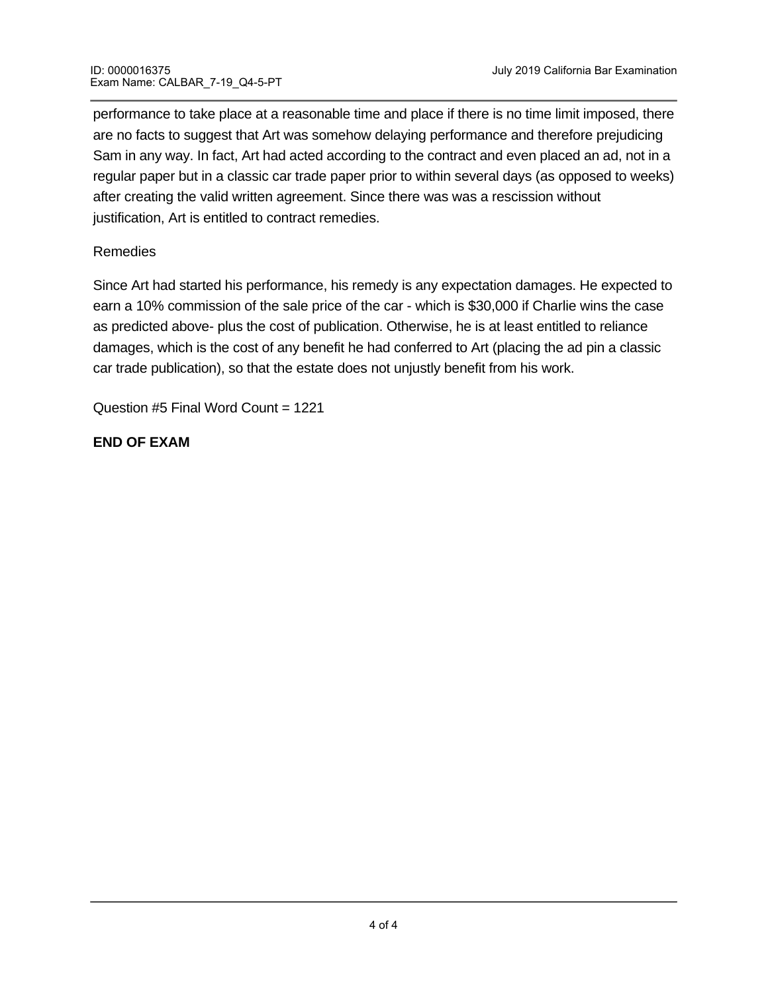performance to take place at a reasonable time and place if there is no time limit imposed, there are no facts to suggest that Art was somehow delaying performance and therefore prejudicing Sam in any way. In fact, Art had acted according to the contract and even placed an ad, not in a regular paper but in a classic car trade paper prior to within several days (as opposed to weeks) after creating the valid written agreement. Since there was was a rescission without justification, Art is entitled to contract remedies.

# Remedies

Since Art had started his performance, his remedy is any expectation damages. He expected to earn a 10% commission of the sale price of the car - which is \$30,000 if Charlie wins the case as predicted above- plus the cost of publication. Otherwise, he is at least entitled to reliance damages, which is the cost of any benefit he had conferred to Art (placing the ad pin a classic car trade publication), so that the estate does not unjustly benefit from his work.

Question #5 Final Word Count = 1221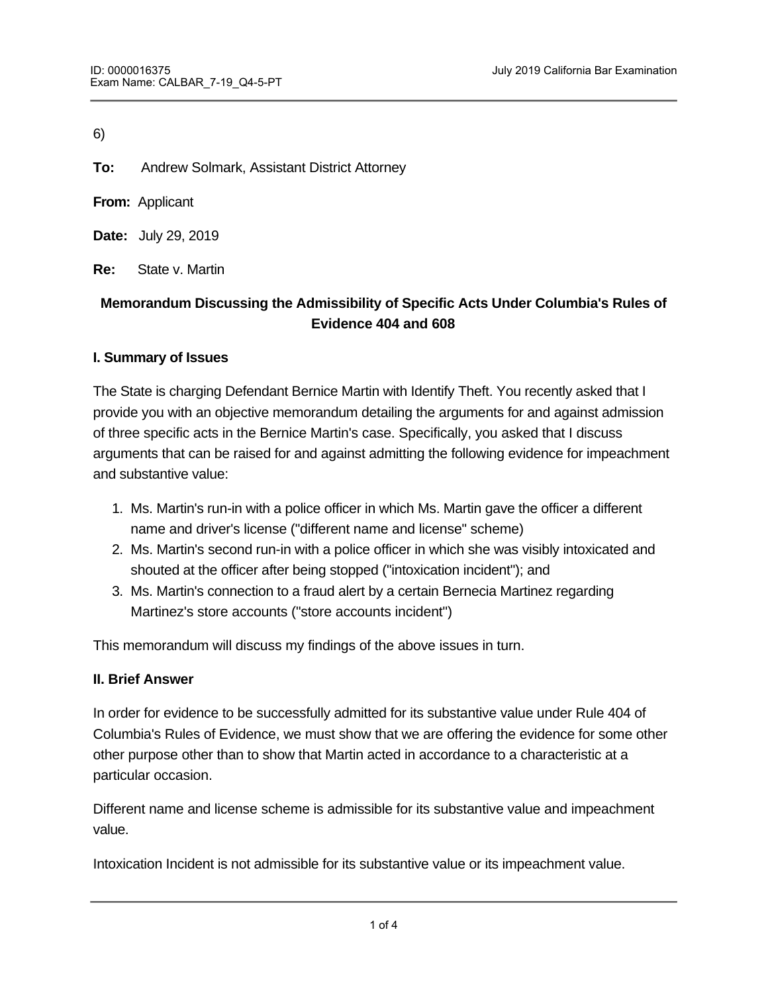**To:** Andrew Solmark, Assistant District Attorney

**From:** Applicant

**Date:** July 29, 2019

**Re:** State v. Martin

# **Memorandum Discussing the Admissibility of Specific Acts Under Columbia's Rules of Evidence 404 and 608**

#### **I. Summary of Issues**

The State is charging Defendant Bernice Martin with Identify Theft. You recently asked that I provide you with an objective memorandum detailing the arguments for and against admission of three specific acts in the Bernice Martin's case. Specifically, you asked that I discuss arguments that can be raised for and against admitting the following evidence for impeachment and substantive value:

- 1. Ms. Martin's run-in with a police officer in which Ms. Martin gave the officer a different name and driver's license ("different name and license" scheme)
- 2. Ms. Martin's second run-in with a police officer in which she was visibly intoxicated and shouted at the officer after being stopped ("intoxication incident"); and
- 3. Ms. Martin's connection to a fraud alert by a certain Bernecia Martinez regarding Martinez's store accounts ("store accounts incident")

This memorandum will discuss my findings of the above issues in turn.

#### **II. Brief Answer**

In order for evidence to be successfully admitted for its substantive value under Rule 404 of Columbia's Rules of Evidence, we must show that we are offering the evidence for some other other purpose other than to show that Martin acted in accordance to a characteristic at a particular occasion.

Different name and license scheme is admissible for its substantive value and impeachment value.

Intoxication Incident is not admissible for its substantive value or its impeachment value.

Store accounts incident is admissible for its substantive value and impeachment value.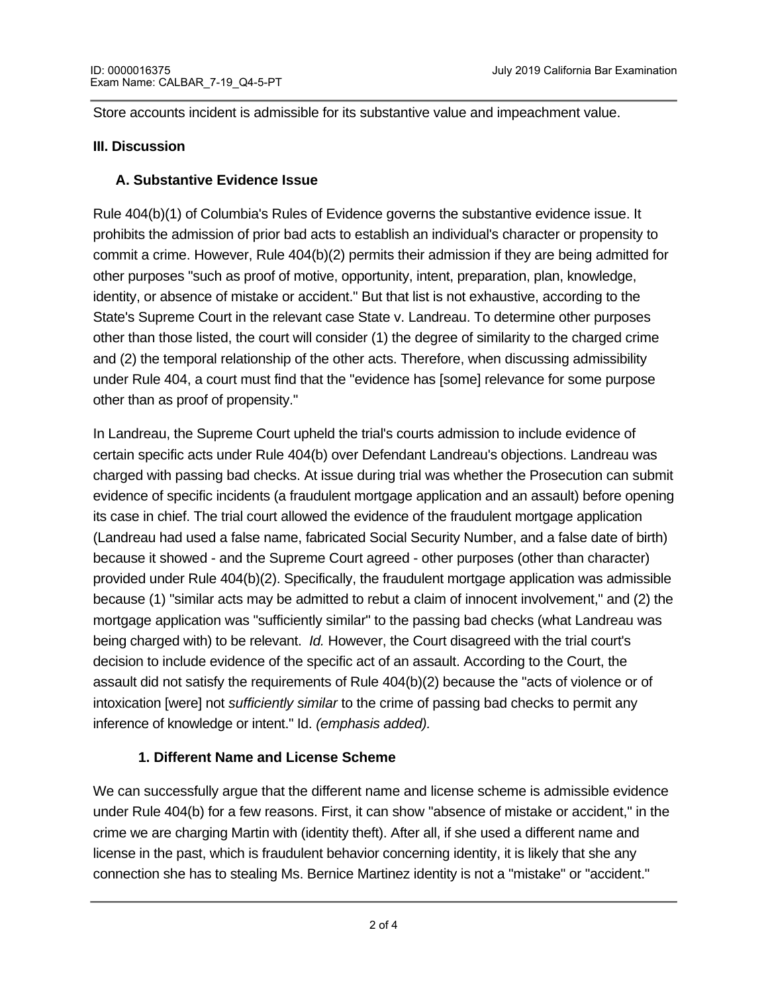Store accounts incident is admissible for its substantive value and impeachment value.

### **III. Discussion**

### **A. Substantive Evidence Issue**

Rule 404(b)(1) of Columbia's Rules of Evidence governs the substantive evidence issue. It prohibits the admission of prior bad acts to establish an individual's character or propensity to commit a crime. However, Rule 404(b)(2) permits their admission if they are being admitted for other purposes "such as proof of motive, opportunity, intent, preparation, plan, knowledge, identity, or absence of mistake or accident." But that list is not exhaustive, according to the State's Supreme Court in the relevant case State v. Landreau. To determine other purposes other than those listed, the court will consider (1) the degree of similarity to the charged crime and (2) the temporal relationship of the other acts. Therefore, when discussing admissibility under Rule 404, a court must find that the "evidence has [some] relevance for some purpose other than as proof of propensity."

In Landreau, the Supreme Court upheld the trial's courts admission to include evidence of certain specific acts under Rule 404(b) over Defendant Landreau's objections. Landreau was charged with passing bad checks. At issue during trial was whether the Prosecution can submit evidence of specific incidents (a fraudulent mortgage application and an assault) before opening its case in chief. The trial court allowed the evidence of the fraudulent mortgage application (Landreau had used a false name, fabricated Social Security Number, and a false date of birth) because it showed - and the Supreme Court agreed - other purposes (other than character) provided under Rule 404(b)(2). Specifically, the fraudulent mortgage application was admissible because (1) "similar acts may be admitted to rebut a claim of innocent involvement," and (2) the mortgage application was "sufficiently similar" to the passing bad checks (what Landreau was being charged with) to be relevant. *Id.* However, the Court disagreed with the trial court's decision to include evidence of the specific act of an assault. According to the Court, the assault did not satisfy the requirements of Rule 404(b)(2) because the "acts of violence or of intoxication [were] not *sufficiently similar* to the crime of passing bad checks to permit any inference of knowledge or intent." Id. *(emphasis added).* 

# **1. Different Name and License Scheme**

We can successfully argue that the different name and license scheme is admissible evidence under Rule 404(b) for a few reasons. First, it can show "absence of mistake or accident," in the crime we are charging Martin with (identity theft). After all, if she used a different name and license in the past, which is fraudulent behavior concerning identity, it is likely that she any connection she has to stealing Ms. Bernice Martinez identity is not a "mistake" or "accident."

 $\mathcal{F}_{\mathcal{A}}$  further, the failure to give a police of  $\mathcal{A}$  police of  $\mathcal{A}$  and drivers license is sufficiently license is sufficiently license is sufficiently license is sufficiently license in  $\mathcal{A}$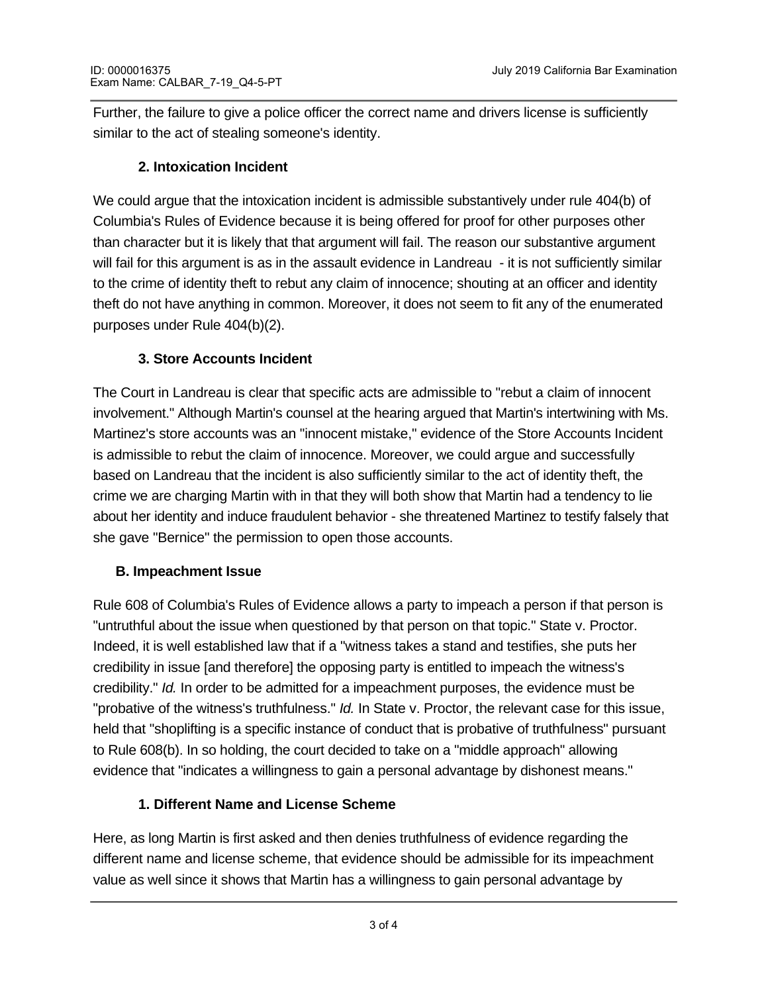Further, the failure to give a police officer the correct name and drivers license is sufficiently similar to the act of stealing someone's identity.

# **2. Intoxication Incident**

We could argue that the intoxication incident is admissible substantively under rule 404(b) of Columbia's Rules of Evidence because it is being offered for proof for other purposes other than character but it is likely that that argument will fail. The reason our substantive argument will fail for this argument is as in the assault evidence in Landreau - it is not sufficiently similar to the crime of identity theft to rebut any claim of innocence; shouting at an officer and identity theft do not have anything in common. Moreover, it does not seem to fit any of the enumerated purposes under Rule 404(b)(2).

# **3. Store Accounts Incident**

The Court in Landreau is clear that specific acts are admissible to "rebut a claim of innocent involvement." Although Martin's counsel at the hearing argued that Martin's intertwining with Ms. Martinez's store accounts was an "innocent mistake," evidence of the Store Accounts Incident is admissible to rebut the claim of innocence. Moreover, we could argue and successfully based on Landreau that the incident is also sufficiently similar to the act of identity theft, the crime we are charging Martin with in that they will both show that Martin had a tendency to lie about her identity and induce fraudulent behavior - she threatened Martinez to testify falsely that she gave "Bernice" the permission to open those accounts.

# **B. Impeachment Issue**

dishonest means and the second state of the second state of the second state of the second state of the second state of the second state of the second state of the second state of the second state of the second state of th

Rule 608 of Columbia's Rules of Evidence allows a party to impeach a person if that person is "untruthful about the issue when questioned by that person on that topic." State v. Proctor. Indeed, it is well established law that if a "witness takes a stand and testifies, she puts her credibility in issue [and therefore] the opposing party is entitled to impeach the witness's credibility." *Id.* In order to be admitted for a impeachment purposes, the evidence must be "probative of the witness's truthfulness." *Id.* In State v. Proctor, the relevant case for this issue, held that "shoplifting is a specific instance of conduct that is probative of truthfulness" pursuant to Rule 608(b). In so holding, the court decided to take on a "middle approach" allowing evidence that "indicates a willingness to gain a personal advantage by dishonest means."

# **1. Different Name and License Scheme**

Here, as long Martin is first asked and then denies truthfulness of evidence regarding the different name and license scheme, that evidence should be admissible for its impeachment value as well since it shows that Martin has a willingness to gain personal advantage by